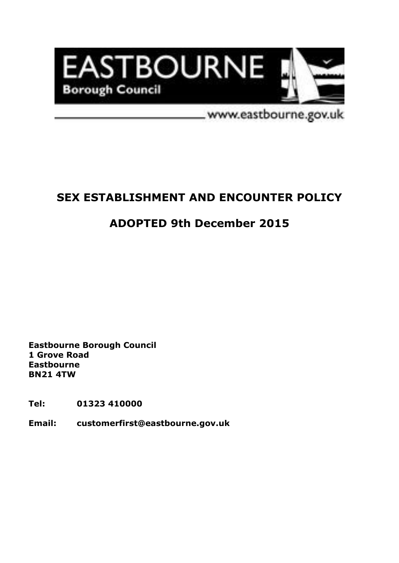

www.eastbourne.gov.uk

# **SEX ESTABLISHMENT AND ENCOUNTER POLICY**

# **ADOPTED 9th December 2015**

**Eastbourne Borough Council 1 Grove Road Eastbourne BN21 4TW**

**Tel: 01323 410000**

**Email: customerfirst@eastbourne.gov.uk**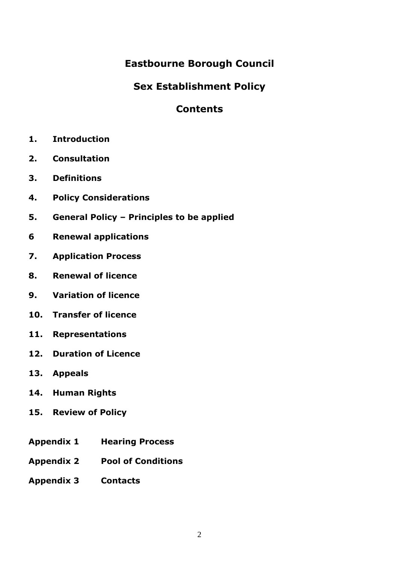## **Eastbourne Borough Council**

## **Sex Establishment Policy**

## **Contents**

- **1. Introduction**
- **2. Consultation**
- **3. Definitions**
- **4. Policy Considerations**
- **5. General Policy – Principles to be applied**
- **6 Renewal applications**
- **7. Application Process**
- **8. Renewal of licence**
- **9. Variation of licence**
- **10. Transfer of licence**
- **11. Representations**
- **12. Duration of Licence**
- **13. Appeals**
- **14. Human Rights**
- **15. Review of Policy**
- **Appendix 1 Hearing Process**
- **Appendix 2 Pool of Conditions**
- **Appendix 3 Contacts**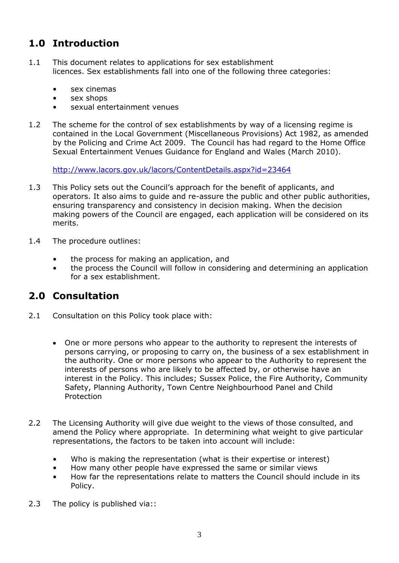# **1.0 Introduction**

- 1.1 This document relates to applications for sex establishment licences. Sex establishments fall into one of the following three categories:
	- sex cinemas
	- sex shops
	- sexual entertainment venues
- 1.2 The scheme for the control of sex establishments by way of a licensing regime is contained in the Local Government (Miscellaneous Provisions) Act 1982, as amended by the Policing and Crime Act 2009. The Council has had regard to the Home Office Sexual Entertainment Venues Guidance for England and Wales (March 2010).

[http://www.lacors.gov.uk/lacors/ContentDetails.aspx?id=23464](http://www.ihsti.com/lacors/home.aspx)

- 1.3 This Policy sets out the Council's approach for the benefit of applicants, and operators. It also aims to guide and re-assure the public and other public authorities, ensuring transparency and consistency in decision making. When the decision making powers of the Council are engaged, each application will be considered on its merits.
- 1.4 The procedure outlines:
	- the process for making an application, and
	- the process the Council will follow in considering and determining an application for a sex establishment.

## **2.0 Consultation**

- 2.1 Consultation on this Policy took place with:
	- One or more persons who appear to the authority to represent the interests of persons carrying, or proposing to carry on, the business of a sex establishment in the authority. One or more persons who appear to the Authority to represent the interests of persons who are likely to be affected by, or otherwise have an interest in the Policy. This includes; Sussex Police, the Fire Authority, Community Safety, Planning Authority, Town Centre Neighbourhood Panel and Child Protection
- 2.2 The Licensing Authority will give due weight to the views of those consulted, and amend the Policy where appropriate. In determining what weight to give particular representations, the factors to be taken into account will include:
	- Who is making the representation (what is their expertise or interest)
	- How many other people have expressed the same or similar views
	- How far the representations relate to matters the Council should include in its Policy.
- 2.3 The policy is published via::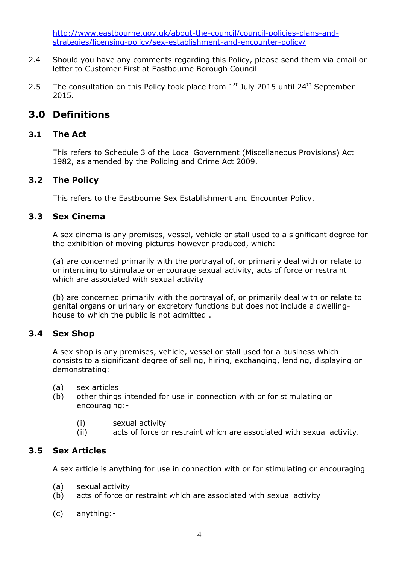[http://www.eastbourne.gov.uk/about-the-council/council-policies-plans-and](http://www.lewes-eastbourne.gov.uk/licensing-and-registrations/sex-establishment-licence/)strategies/licensing-policy/sex-establishment-and-encounter-policy/

- 2.4 Should you have any comments regarding this Policy, please send them via email or letter to Customer First at Eastbourne Borough Council
- 2.5 The consultation on this Policy took place from  $1<sup>st</sup>$  July 2015 until 24<sup>th</sup> September 2015.

## **3.0 Definitions**

### **3.1 The Act**

This refers to Schedule 3 of the Local Government (Miscellaneous Provisions) Act 1982, as amended by the Policing and Crime Act 2009.

### **3.2 The Policy**

This refers to the Eastbourne Sex Establishment and Encounter Policy.

### **3.3 Sex Cinema**

A sex cinema is any premises, vessel, vehicle or stall used to a significant degree for the exhibition of moving pictures however produced, which:

(a) are concerned primarily with the portrayal of, or primarily deal with or relate to or intending to stimulate or encourage sexual activity, acts of force or restraint which are associated with sexual activity

(b) are concerned primarily with the portrayal of, or primarily deal with or relate to genital organs or urinary or excretory functions but does not include a dwellinghouse to which the public is not admitted .

### **3.4 Sex Shop**

A sex shop is any premises, vehicle, vessel or stall used for a business which consists to a significant degree of selling, hiring, exchanging, lending, displaying or demonstrating:

- (a) sex articles
- (b) other things intended for use in connection with or for stimulating or encouraging:-
	- (i) sexual activity
	- (ii) acts of force or restraint which are associated with sexual activity.

### **3.5 Sex Articles**

A sex article is anything for use in connection with or for stimulating or encouraging

- (a) sexual activity
- (b) acts of force or restraint which are associated with sexual activity
- (c) anything:-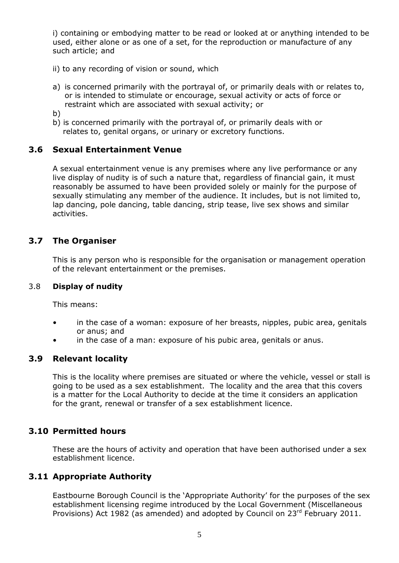i) containing or embodying matter to be read or looked at or anything intended to be used, either alone or as one of a set, for the reproduction or manufacture of any such article; and

- ii) to any recording of vision or sound, which
- a) is concerned primarily with the portrayal of, or primarily deals with or relates to, or is intended to stimulate or encourage, sexual activity or acts of force or restraint which are associated with sexual activity; or
- b)
- b) is concerned primarily with the portrayal of, or primarily deals with or relates to, genital organs, or urinary or excretory functions.

#### **3.6 Sexual Entertainment Venue**

A sexual entertainment venue is any premises where any live performance or any live display of nudity is of such a nature that, regardless of financial gain, it must reasonably be assumed to have been provided solely or mainly for the purpose of sexually stimulating any member of the audience. It includes, but is not limited to, lap dancing, pole dancing, table dancing, strip tease, live sex shows and similar activities.

### **3.7 The Organiser**

This is any person who is responsible for the organisation or management operation of the relevant entertainment or the premises.

#### 3.8 **Display of nudity**

This means:

- in the case of a woman: exposure of her breasts, nipples, pubic area, genitals or anus; and
- in the case of a man: exposure of his pubic area, genitals or anus.

#### **3.9 Relevant locality**

This is the locality where premises are situated or where the vehicle, vessel or stall is going to be used as a sex establishment. The locality and the area that this covers is a matter for the Local Authority to decide at the time it considers an application for the grant, renewal or transfer of a sex establishment licence.

#### **3.10 Permitted hours**

These are the hours of activity and operation that have been authorised under a sex establishment licence.

### **3.11 Appropriate Authority**

Eastbourne Borough Council is the 'Appropriate Authority' for the purposes of the sex establishment licensing regime introduced by the Local Government (Miscellaneous Provisions) Act 1982 (as amended) and adopted by Council on 23<sup>rd</sup> February 2011.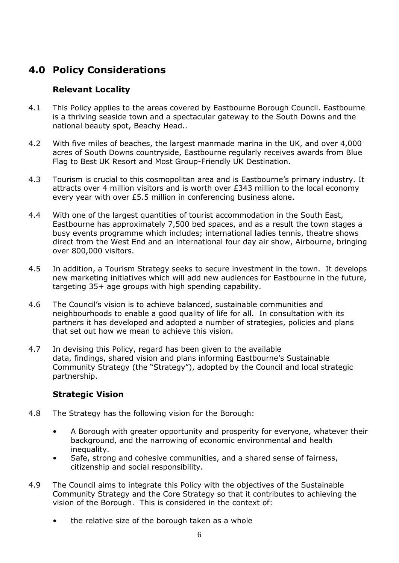## **4.0 Policy Considerations**

### **Relevant Locality**

- 4.1 This Policy applies to the areas covered by Eastbourne Borough Council. Eastbourne is a thriving seaside town and a spectacular gateway to the South Downs and the national beauty spot, Beachy Head..
- 4.2 With five miles of beaches, the largest manmade marina in the UK, and over 4,000 acres of South Downs countryside, Eastbourne regularly receives awards from Blue Flag to Best UK Resort and Most Group-Friendly UK Destination.
- 4.3 Tourism is crucial to this cosmopolitan area and is Eastbourne's primary industry. It attracts over 4 million visitors and is worth over £343 million to the local economy every year with over £5.5 million in conferencing business alone.
- 4.4 With one of the largest quantities of tourist accommodation in the South East, Eastbourne has approximately 7,500 bed spaces, and as a result the town stages a busy events programme which includes; international ladies tennis, theatre shows direct from the West End and an international four day air show, Airbourne, bringing over 800,000 visitors.
- 4.5 In addition, a Tourism Strategy seeks to secure investment in the town. It develops new marketing initiatives which will add new audiences for Eastbourne in the future, targeting 35+ age groups with high spending capability.
- 4.6 The Council's vision is to achieve balanced, sustainable communities and neighbourhoods to enable a good quality of life for all. In consultation with its partners it has developed and adopted a number of strategies, policies and plans that set out how we mean to achieve this vision.
- 4.7 In devising this Policy, regard has been given to the available data, findings, shared vision and plans informing Eastbourne's Sustainable Community Strategy (the "Strategy"), adopted by the Council and local strategic partnership.

### **Strategic Vision**

- 4.8 The Strategy has the following vision for the Borough:
	- A Borough with greater opportunity and prosperity for everyone, whatever their background, and the narrowing of economic environmental and health inequality.
	- Safe, strong and cohesive communities, and a shared sense of fairness, citizenship and social responsibility.
- 4.9 The Council aims to integrate this Policy with the objectives of the Sustainable Community Strategy and the Core Strategy so that it contributes to achieving the vision of the Borough. This is considered in the context of:
	- the relative size of the borough taken as a whole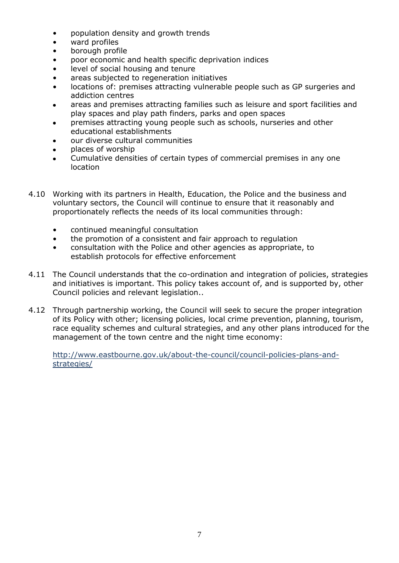- population density and growth trends
- ward profiles
- borough profile
- poor economic and health specific deprivation indices
- level of social housing and tenure
- areas subjected to regeneration initiatives
- locations of: premises attracting vulnerable people such as GP surgeries and addiction centres
- areas and premises attracting families such as leisure and sport facilities and play spaces and play path finders, parks and open spaces
- premises attracting young people such as schools, nurseries and other educational establishments
- our diverse cultural communities
- places of worship
- Cumulative densities of certain types of commercial premises in any one location
- 4.10 Working with its partners in Health, Education, the Police and the business and voluntary sectors, the Council will continue to ensure that it reasonably and proportionately reflects the needs of its local communities through:
	- continued meaningful consultation
	- the promotion of a consistent and fair approach to regulation
	- consultation with the Police and other agencies as appropriate, to establish protocols for effective enforcement
- 4.11 The Council understands that the co-ordination and integration of policies, strategies and initiatives is important. This policy takes account of, and is supported by, other Council policies and relevant legislation..
- 4.12 Through partnership working, the Council will seek to secure the proper integration of its Policy with other; licensing policies, local crime prevention, planning, tourism, race equality schemes and cultural strategies, and any other plans introduced for the management of the town centre and the night time economy:

[http://www.eastbourne.gov.uk/about-the-council/council-policies-plans-and](http://www.lewes-eastbourne.gov.uk/about-the-council/corporate-plans/)strategies/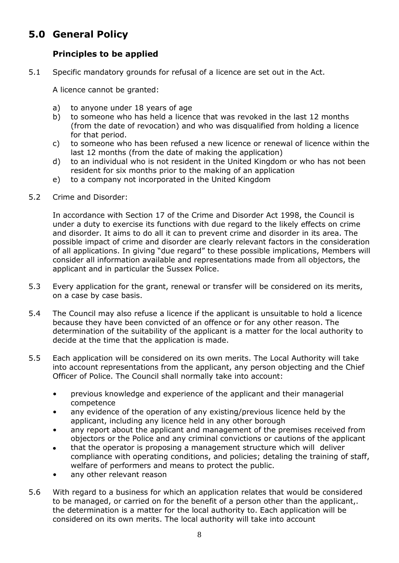# **5.0 General Policy**

### **Principles to be applied**

5.1 Specific mandatory grounds for refusal of a licence are set out in the Act.

A licence cannot be granted:

- a) to anyone under 18 years of age
- b) to someone who has held a licence that was revoked in the last 12 months (from the date of revocation) and who was disqualified from holding a licence for that period.
- c) to someone who has been refused a new licence or renewal of licence within the last 12 months (from the date of making the application)
- d) to an individual who is not resident in the United Kingdom or who has not been resident for six months prior to the making of an application
- e) to a company not incorporated in the United Kingdom
- 5.2 Crime and Disorder:

In accordance with Section 17 of the Crime and Disorder Act 1998, the Council is under a duty to exercise its functions with due regard to the likely effects on crime and disorder. It aims to do all it can to prevent crime and disorder in its area. The possible impact of crime and disorder are clearly relevant factors in the consideration of all applications. In giving "due regard" to these possible implications, Members will consider all information available and representations made from all objectors, the applicant and in particular the Sussex Police.

- 5.3 Every application for the grant, renewal or transfer will be considered on its merits, on a case by case basis.
- 5.4 The Council may also refuse a licence if the applicant is unsuitable to hold a licence because they have been convicted of an offence or for any other reason. The determination of the suitability of the applicant is a matter for the local authority to decide at the time that the application is made.
- 5.5 Each application will be considered on its own merits. The Local Authority will take into account representations from the applicant, any person objecting and the Chief Officer of Police. The Council shall normally take into account:
	- previous knowledge and experience of the applicant and their managerial competence
	- any evidence of the operation of any existing/previous licence held by the applicant, including any licence held in any other borough
	- any report about the applicant and management of the premises received from objectors or the Police and any criminal convictions or cautions of the applicant
	- that the operator is proposing a management structure which will deliver compliance with operating conditions, and policies; detaling the training of staff, welfare of performers and means to protect the public.
	- any other relevant reason
- 5.6 With regard to a business for which an application relates that would be considered to be managed, or carried on for the benefit of a person other than the applicant,. the determination is a matter for the local authority to. Each application will be considered on its own merits. The local authority will take into account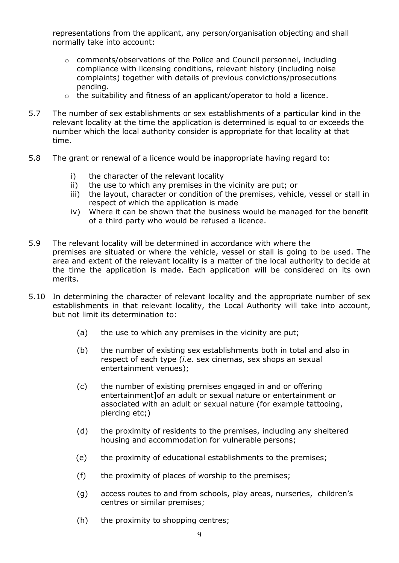representations from the applicant, any person/organisation objecting and shall normally take into account:

- $\circ$  comments/observations of the Police and Council personnel, including compliance with licensing conditions, relevant history (including noise complaints) together with details of previous convictions/prosecutions pending.
- o the suitability and fitness of an applicant/operator to hold a licence.
- 5.7 The number of sex establishments or sex establishments of a particular kind in the relevant locality at the time the application is determined is equal to or exceeds the number which the local authority consider is appropriate for that locality at that time.
- 5.8 The grant or renewal of a licence would be inappropriate having regard to:
	- i) the character of the relevant locality
	- ii) the use to which any premises in the vicinity are put; or
	- iii) the layout, character or condition of the premises, vehicle, vessel or stall in respect of which the application is made
	- iv) Where it can be shown that the business would be managed for the benefit of a third party who would be refused a licence.
- 5.9 The relevant locality will be determined in accordance with where the premises are situated or where the vehicle, vessel or stall is going to be used. The area and extent of the relevant locality is a matter of the local authority to decide at the time the application is made. Each application will be considered on its own merits.
- 5.10 In determining the character of relevant locality and the appropriate number of sex establishments in that relevant locality, the Local Authority will take into account, but not limit its determination to:
	- (a) the use to which any premises in the vicinity are put;
	- (b) the number of existing sex establishments both in total and also in respect of each type (*i.e.* sex cinemas, sex shops an sexual entertainment venues);
	- (c) the number of existing premises engaged in and or offering entertainment]of an adult or sexual nature or entertainment or associated with an adult or sexual nature (for example tattooing, piercing etc;)
	- (d) the proximity of residents to the premises, including any sheltered housing and accommodation for vulnerable persons;
	- (e) the proximity of educational establishments to the premises;
	- (f) the proximity of places of worship to the premises;
	- (g) access routes to and from schools, play areas, nurseries, children's centres or similar premises;
	- (h) the proximity to shopping centres;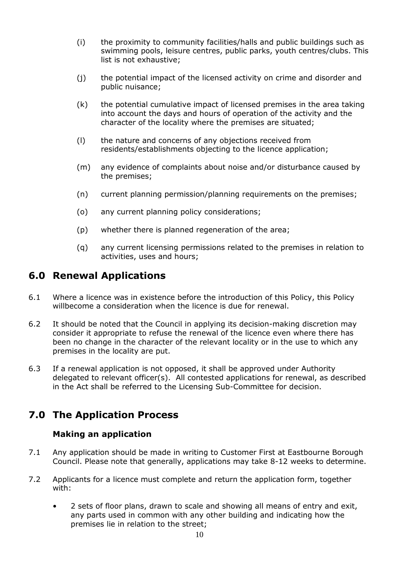- (i) the proximity to community facilities/halls and public buildings such as swimming pools, leisure centres, public parks, youth centres/clubs. This list is not exhaustive;
- (j) the potential impact of the licensed activity on crime and disorder and public nuisance;
- (k) the potential cumulative impact of licensed premises in the area taking into account the days and hours of operation of the activity and the character of the locality where the premises are situated;
- (l) the nature and concerns of any objections received from residents/establishments objecting to the licence application;
- (m) any evidence of complaints about noise and/or disturbance caused by the premises;
- (n) current planning permission/planning requirements on the premises;
- (o) any current planning policy considerations;
- (p) whether there is planned regeneration of the area;
- (q) any current licensing permissions related to the premises in relation to activities, uses and hours;

### **6.0 Renewal Applications**

- 6.1 Where a licence was in existence before the introduction of this Policy, this Policy willbecome a consideration when the licence is due for renewal.
- 6.2 It should be noted that the Council in applying its decision-making discretion may consider it appropriate to refuse the renewal of the licence even where there has been no change in the character of the relevant locality or in the use to which any premises in the locality are put.
- 6.3 If a renewal application is not opposed, it shall be approved under Authority delegated to relevant officer(s). All contested applications for renewal, as described in the Act shall be referred to the Licensing Sub-Committee for decision.

## **7.0 The Application Process**

### **Making an application**

- 7.1 Any application should be made in writing to Customer First at Eastbourne Borough Council. Please note that generally, applications may take 8-12 weeks to determine.
- 7.2 Applicants for a licence must complete and return the application form, together with:
	- 2 sets of floor plans, drawn to scale and showing all means of entry and exit, any parts used in common with any other building and indicating how the premises lie in relation to the street;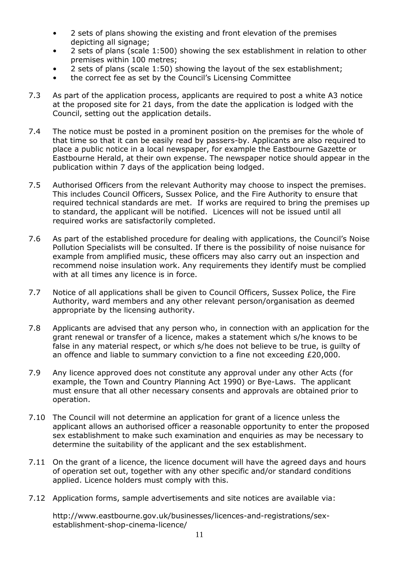- 2 sets of plans showing the existing and front elevation of the premises depicting all signage:
- 2 sets of plans (scale 1:500) showing the sex establishment in relation to other premises within 100 metres;
- 2 sets of plans (scale 1:50) showing the layout of the sex establishment;
- the correct fee as set by the Council's Licensing Committee
- 7.3 As part of the application process, applicants are required to post a white A3 notice at the proposed site for 21 days, from the date the application is lodged with the Council, setting out the application details.
- 7.4 The notice must be posted in a prominent position on the premises for the whole of that time so that it can be easily read by passers-by. Applicants are also required to place a public notice in a local newspaper, for example the Eastbourne Gazette or Eastbourne Herald, at their own expense. The newspaper notice should appear in the publication within 7 days of the application being lodged.
- 7.5 Authorised Officers from the relevant Authority may choose to inspect the premises. This includes Council Officers, Sussex Police, and the Fire Authority to ensure that required technical standards are met. If works are required to bring the premises up to standard, the applicant will be notified. Licences will not be issued until all required works are satisfactorily completed.
- 7.6 As part of the established procedure for dealing with applications, the Council's Noise Pollution Specialists will be consulted. If there is the possibility of noise nuisance for example from amplified music, these officers may also carry out an inspection and recommend noise insulation work. Any requirements they identify must be complied with at all times any licence is in force.
- 7.7 Notice of all applications shall be given to Council Officers, Sussex Police, the Fire Authority, ward members and any other relevant person/organisation as deemed appropriate by the licensing authority.
- 7.8 Applicants are advised that any person who, in connection with an application for the grant renewal or transfer of a licence, makes a statement which s/he knows to be false in any material respect, or which s/he does not believe to be true, is guilty of an offence and liable to summary conviction to a fine not exceeding £20,000.
- 7.9 Any licence approved does not constitute any approval under any other Acts (for example, the Town and Country Planning Act 1990) or Bye-Laws. The applicant must ensure that all other necessary consents and approvals are obtained prior to operation.
- 7.10 The Council will not determine an application for grant of a licence unless the applicant allows an authorised officer a reasonable opportunity to enter the proposed sex establishment to make such examination and enquiries as may be necessary to determine the suitability of the applicant and the sex establishment.
- 7.11 On the grant of a licence, the licence document will have the agreed days and hours of operation set out, together with any other specific and/or standard conditions applied. Licence holders must comply with this.
- 7.12 Application forms, sample advertisements and site notices are available via:

http://www.eastbourne.gov.uk/businesses/licences-and-registrations/sexestablishment-shop-cinema-licence/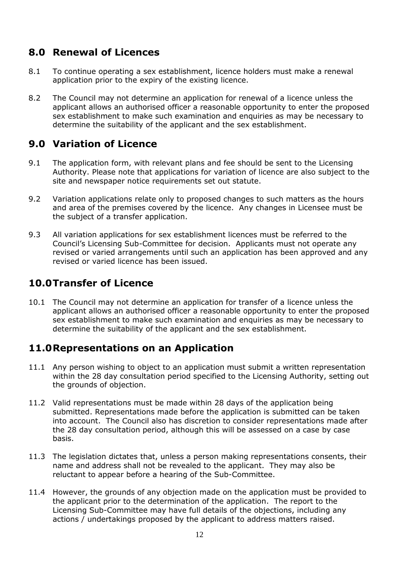## **8.0 Renewal of Licences**

- 8.1 To continue operating a sex establishment, licence holders must make a renewal application prior to the expiry of the existing licence.
- 8.2 The Council may not determine an application for renewal of a licence unless the applicant allows an authorised officer a reasonable opportunity to enter the proposed sex establishment to make such examination and enquiries as may be necessary to determine the suitability of the applicant and the sex establishment.

## **9.0 Variation of Licence**

- 9.1 The application form, with relevant plans and fee should be sent to the Licensing Authority. Please note that applications for variation of licence are also subject to the site and newspaper notice requirements set out statute.
- 9.2 Variation applications relate only to proposed changes to such matters as the hours and area of the premises covered by the licence. Any changes in Licensee must be the subject of a transfer application.
- 9.3 All variation applications for sex establishment licences must be referred to the Council's Licensing Sub-Committee for decision. Applicants must not operate any revised or varied arrangements until such an application has been approved and any revised or varied licence has been issued.

## **10.0Transfer of Licence**

10.1 The Council may not determine an application for transfer of a licence unless the applicant allows an authorised officer a reasonable opportunity to enter the proposed sex establishment to make such examination and enquiries as may be necessary to determine the suitability of the applicant and the sex establishment.

## **11.0Representations on an Application**

- 11.1 Any person wishing to object to an application must submit a written representation within the 28 day consultation period specified to the Licensing Authority, setting out the grounds of objection.
- 11.2 Valid representations must be made within 28 days of the application being submitted. Representations made before the application is submitted can be taken into account. The Council also has discretion to consider representations made after the 28 day consultation period, although this will be assessed on a case by case basis.
- 11.3 The legislation dictates that, unless a person making representations consents, their name and address shall not be revealed to the applicant. They may also be reluctant to appear before a hearing of the Sub-Committee.
- 11.4 However, the grounds of any objection made on the application must be provided to the applicant prior to the determination of the application. The report to the Licensing Sub-Committee may have full details of the objections, including any actions / undertakings proposed by the applicant to address matters raised.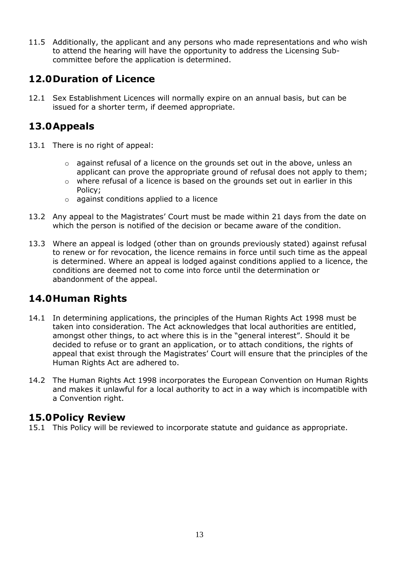11.5 Additionally, the applicant and any persons who made representations and who wish to attend the hearing will have the opportunity to address the Licensing Subcommittee before the application is determined.

## **12.0Duration of Licence**

12.1 Sex Establishment Licences will normally expire on an annual basis, but can be issued for a shorter term, if deemed appropriate.

## **13.0Appeals**

- 13.1 There is no right of appeal:
	- $\circ$  against refusal of a licence on the grounds set out in the above, unless an applicant can prove the appropriate ground of refusal does not apply to them;
	- o where refusal of a licence is based on the grounds set out in earlier in this Policy;
	- o against conditions applied to a licence
- 13.2 Any appeal to the Magistrates' Court must be made within 21 days from the date on which the person is notified of the decision or became aware of the condition.
- 13.3 Where an appeal is lodged (other than on grounds previously stated) against refusal to renew or for revocation, the licence remains in force until such time as the appeal is determined. Where an appeal is lodged against conditions applied to a licence, the conditions are deemed not to come into force until the determination or abandonment of the appeal.

## **14.0Human Rights**

- 14.1 In determining applications, the principles of the Human Rights Act 1998 must be taken into consideration. The Act acknowledges that local authorities are entitled, amongst other things, to act where this is in the "general interest". Should it be decided to refuse or to grant an application, or to attach conditions, the rights of appeal that exist through the Magistrates' Court will ensure that the principles of the Human Rights Act are adhered to.
- 14.2 The Human Rights Act 1998 incorporates the European Convention on Human Rights and makes it unlawful for a local authority to act in a way which is incompatible with a Convention right.

## **15.0Policy Review**

15.1 This Policy will be reviewed to incorporate statute and guidance as appropriate.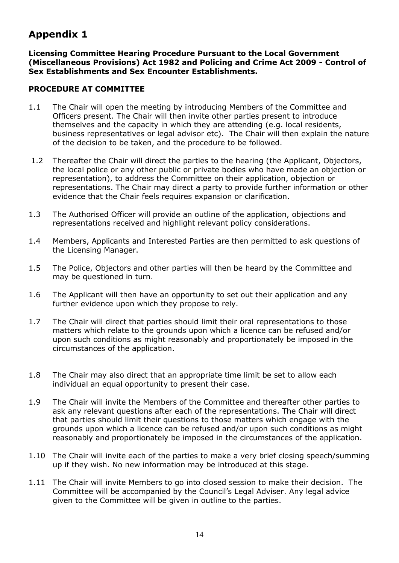## **Appendix 1**

**Licensing Committee Hearing Procedure Pursuant to the Local Government (Miscellaneous Provisions) Act 1982 and Policing and Crime Act 2009 - Control of Sex Establishments and Sex Encounter Establishments.**

#### **PROCEDURE AT COMMITTEE**

- 1.1 The Chair will open the meeting by introducing Members of the Committee and Officers present. The Chair will then invite other parties present to introduce themselves and the capacity in which they are attending (e.g. local residents, business representatives or legal advisor etc). The Chair will then explain the nature of the decision to be taken, and the procedure to be followed.
- 1.2 Thereafter the Chair will direct the parties to the hearing (the Applicant, Objectors, the local police or any other public or private bodies who have made an objection or representation), to address the Committee on their application, objection or representations. The Chair may direct a party to provide further information or other evidence that the Chair feels requires expansion or clarification.
- 1.3 The Authorised Officer will provide an outline of the application, objections and representations received and highlight relevant policy considerations.
- 1.4 Members, Applicants and Interested Parties are then permitted to ask questions of the Licensing Manager.
- 1.5 The Police, Objectors and other parties will then be heard by the Committee and may be questioned in turn.
- 1.6 The Applicant will then have an opportunity to set out their application and any further evidence upon which they propose to rely.
- 1.7 The Chair will direct that parties should limit their oral representations to those matters which relate to the grounds upon which a licence can be refused and/or upon such conditions as might reasonably and proportionately be imposed in the circumstances of the application.
- 1.8 The Chair may also direct that an appropriate time limit be set to allow each individual an equal opportunity to present their case.
- 1.9 The Chair will invite the Members of the Committee and thereafter other parties to ask any relevant questions after each of the representations. The Chair will direct that parties should limit their questions to those matters which engage with the grounds upon which a licence can be refused and/or upon such conditions as might reasonably and proportionately be imposed in the circumstances of the application.
- 1.10 The Chair will invite each of the parties to make a very brief closing speech/summing up if they wish. No new information may be introduced at this stage.
- 1.11 The Chair will invite Members to go into closed session to make their decision. The Committee will be accompanied by the Council's Legal Adviser. Any legal advice given to the Committee will be given in outline to the parties.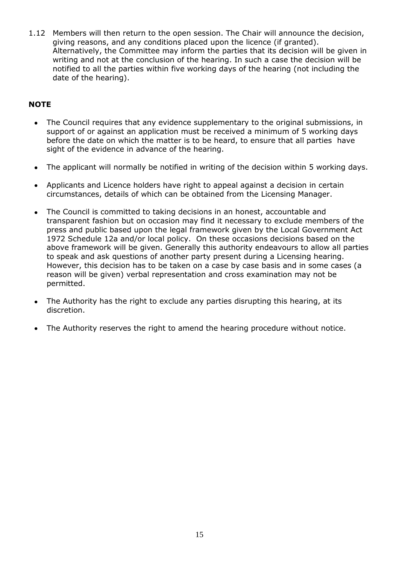1.12 Members will then return to the open session. The Chair will announce the decision, giving reasons, and any conditions placed upon the licence (if granted). Alternatively, the Committee may inform the parties that its decision will be given in writing and not at the conclusion of the hearing. In such a case the decision will be notified to all the parties within five working days of the hearing (not including the date of the hearing).

### **NOTE**

- The Council requires that any evidence supplementary to the original submissions, in  $\bullet$ support of or against an application must be received a minimum of 5 working days before the date on which the matter is to be heard, to ensure that all parties have sight of the evidence in advance of the hearing.
- The applicant will normally be notified in writing of the decision within 5 working days.  $\bullet$
- Applicants and Licence holders have right to appeal against a decision in certain  $\bullet$ circumstances, details of which can be obtained from the Licensing Manager.
- The Council is committed to taking decisions in an honest, accountable and  $\bullet$ transparent fashion but on occasion may find it necessary to exclude members of the press and public based upon the legal framework given by the Local Government Act 1972 Schedule 12a and/or local policy. On these occasions decisions based on the above framework will be given. Generally this authority endeavours to allow all parties to speak and ask questions of another party present during a Licensing hearing. However, this decision has to be taken on a case by case basis and in some cases (a reason will be given) verbal representation and cross examination may not be permitted.
- The Authority has the right to exclude any parties disrupting this hearing, at its  $\bullet$ discretion.
- The Authority reserves the right to amend the hearing procedure without notice. $\bullet$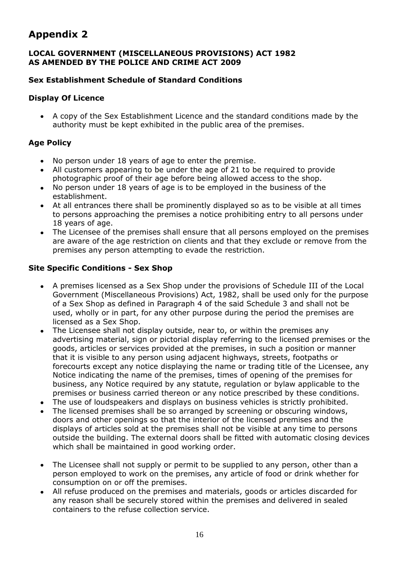## **Appendix 2**

#### **LOCAL GOVERNMENT (MISCELLANEOUS PROVISIONS) ACT 1982 AS AMENDED BY THE POLICE AND CRIME ACT 2009**

### **Sex Establishment Schedule of Standard Conditions**

#### **Display Of Licence**

A copy of the Sex Establishment Licence and the standard conditions made by the authority must be kept exhibited in the public area of the premises.

### **Age Policy**

- No person under 18 years of age to enter the premise.
- All customers appearing to be under the age of 21 to be required to provide photographic proof of their age before being allowed access to the shop.
- No person under 18 years of age is to be employed in the business of the establishment.
- At all entrances there shall be prominently displayed so as to be visible at all times to persons approaching the premises a notice prohibiting entry to all persons under 18 years of age.
- The Licensee of the premises shall ensure that all persons employed on the premises are aware of the age restriction on clients and that they exclude or remove from the premises any person attempting to evade the restriction.

#### **Site Specific Conditions - Sex Shop**

- A premises licensed as a Sex Shop under the provisions of Schedule III of the Local Government (Miscellaneous Provisions) Act, 1982, shall be used only for the purpose of a Sex Shop as defined in Paragraph 4 of the said Schedule 3 and shall not be used, wholly or in part, for any other purpose during the period the premises are licensed as a Sex Shop.
- The Licensee shall not display outside, near to, or within the premises any advertising material, sign or pictorial display referring to the licensed premises or the goods, articles or services provided at the premises, in such a position or manner that it is visible to any person using adjacent highways, streets, footpaths or forecourts except any notice displaying the name or trading title of the Licensee, any Notice indicating the name of the premises, times of opening of the premises for business, any Notice required by any statute, regulation or bylaw applicable to the premises or business carried thereon or any notice prescribed by these conditions.
- The use of loudspeakers and displays on business vehicles is strictly prohibited.
- The licensed premises shall be so arranged by screening or obscuring windows, doors and other openings so that the interior of the licensed premises and the displays of articles sold at the premises shall not be visible at any time to persons outside the building. The external doors shall be fitted with automatic closing devices which shall be maintained in good working order.
- The Licensee shall not supply or permit to be supplied to any person, other than a person employed to work on the premises, any article of food or drink whether for consumption on or off the premises.
- All refuse produced on the premises and materials, goods or articles discarded for  $\bullet$ any reason shall be securely stored within the premises and delivered in sealed containers to the refuse collection service.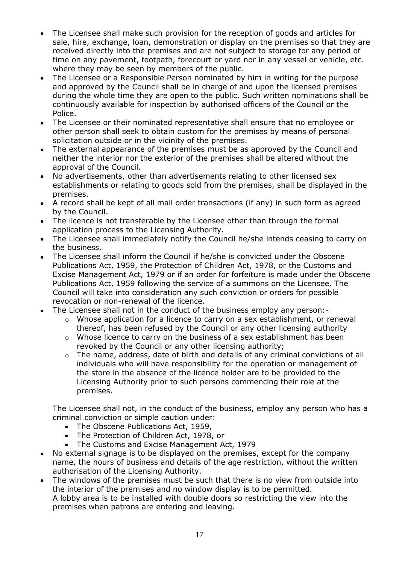- The Licensee shall make such provision for the reception of goods and articles for  $\bullet$ sale, hire, exchange, loan, demonstration or display on the premises so that they are received directly into the premises and are not subject to storage for any period of time on any pavement, footpath, forecourt or yard nor in any vessel or vehicle, etc. where they may be seen by members of the public.
- The Licensee or a Responsible Person nominated by him in writing for the purpose  $\bullet$ and approved by the Council shall be in charge of and upon the licensed premises during the whole time they are open to the public. Such written nominations shall be continuously available for inspection by authorised officers of the Council or the Police.
- The Licensee or their nominated representative shall ensure that no employee or  $\bullet$ other person shall seek to obtain custom for the premises by means of personal solicitation outside or in the vicinity of the premises.
- The external appearance of the premises must be as approved by the Council and  $\bullet$ neither the interior nor the exterior of the premises shall be altered without the approval of the Council.
- No advertisements, other than advertisements relating to other licensed sex  $\bullet$ establishments or relating to goods sold from the premises, shall be displayed in the premises.
- A record shall be kept of all mail order transactions (if any) in such form as agreed by the Council.
- $\bullet$ The licence is not transferable by the Licensee other than through the formal application process to the Licensing Authority.
- The Licensee shall immediately notify the Council he/she intends ceasing to carry on the business.
- The Licensee shall inform the Council if he/she is convicted under the Obscene Publications Act, 1959, the Protection of Children Act, 1978, or the Customs and Excise Management Act, 1979 or if an order for forfeiture is made under the Obscene Publications Act, 1959 following the service of a summons on the Licensee. The Council will take into consideration any such conviction or orders for possible revocation or non-renewal of the licence.
- The Licensee shall not in the conduct of the business employ any person:
	- o Whose application for a licence to carry on a sex establishment, or renewal thereof, has been refused by the Council or any other licensing authority
	- o Whose licence to carry on the business of a sex establishment has been revoked by the Council or any other licensing authority;
	- o The name, address, date of birth and details of any criminal convictions of all individuals who will have responsibility for the operation or management of the store in the absence of the licence holder are to be provided to the Licensing Authority prior to such persons commencing their role at the premises.

The Licensee shall not, in the conduct of the business, employ any person who has a criminal conviction or simple caution under:

- The Obscene Publications Act, 1959,
- The Protection of Children Act, 1978, or
- The Customs and Excise Management Act, 1979
- No external signage is to be displayed on the premises, except for the company  $\bullet$ name, the hours of business and details of the age restriction, without the written authorisation of the Licensing Authority.
- The windows of the premises must be such that there is no view from outside into the interior of the premises and no window display is to be permitted. A lobby area is to be installed with double doors so restricting the view into the premises when patrons are entering and leaving.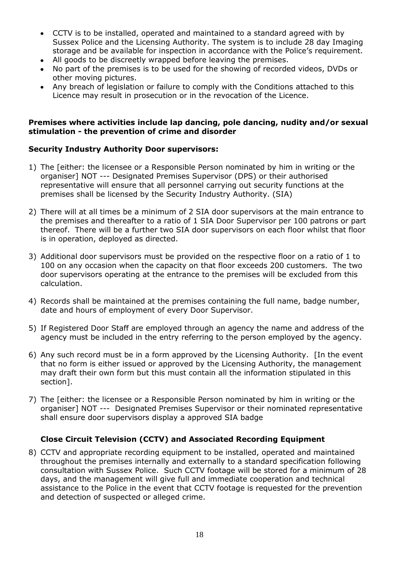- CCTV is to be installed, operated and maintained to a standard agreed with by Sussex Police and the Licensing Authority. The system is to include 28 day Imaging storage and be available for inspection in accordance with the Police's requirement.
- All goods to be discreetly wrapped before leaving the premises.
- No part of the premises is to be used for the showing of recorded videos, DVDs or other moving pictures.
- Any breach of legislation or failure to comply with the Conditions attached to this  $\bullet$ Licence may result in prosecution or in the revocation of the Licence.

#### **Premises where activities include lap dancing, pole dancing, nudity and/or sexual stimulation - the prevention of crime and disorder**

#### **Security Industry Authority Door supervisors:**

- 1) The [either: the licensee or a Responsible Person nominated by him in writing or the organiser] NOT --- Designated Premises Supervisor (DPS) or their authorised representative will ensure that all personnel carrying out security functions at the premises shall be licensed by the Security Industry Authority. (SIA)
- 2) There will at all times be a minimum of 2 SIA door supervisors at the main entrance to the premises and thereafter to a ratio of 1 SIA Door Supervisor per 100 patrons or part thereof. There will be a further two SIA door supervisors on each floor whilst that floor is in operation, deployed as directed.
- 3) Additional door supervisors must be provided on the respective floor on a ratio of 1 to 100 on any occasion when the capacity on that floor exceeds 200 customers. The two door supervisors operating at the entrance to the premises will be excluded from this calculation.
- 4) Records shall be maintained at the premises containing the full name, badge number, date and hours of employment of every Door Supervisor.
- 5) If Registered Door Staff are employed through an agency the name and address of the agency must be included in the entry referring to the person employed by the agency.
- 6) Any such record must be in a form approved by the Licensing Authority. [In the event that no form is either issued or approved by the Licensing Authority, the management may draft their own form but this must contain all the information stipulated in this section].
- 7) The [either: the licensee or a Responsible Person nominated by him in writing or the organiser] NOT --- Designated Premises Supervisor or their nominated representative shall ensure door supervisors display a approved SIA badge

#### **Close Circuit Television (CCTV) and Associated Recording Equipment**

8) CCTV and appropriate recording equipment to be installed, operated and maintained throughout the premises internally and externally to a standard specification following consultation with Sussex Police. Such CCTV footage will be stored for a minimum of 28 days, and the management will give full and immediate cooperation and technical assistance to the Police in the event that CCTV footage is requested for the prevention and detection of suspected or alleged crime.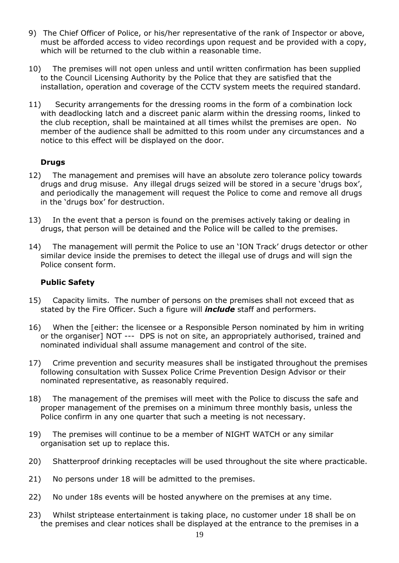- 9) The Chief Officer of Police, or his/her representative of the rank of Inspector or above, must be afforded access to video recordings upon request and be provided with a copy, which will be returned to the club within a reasonable time.
- 10) The premises will not open unless and until written confirmation has been supplied to the Council Licensing Authority by the Police that they are satisfied that the installation, operation and coverage of the CCTV system meets the required standard.
- 11) Security arrangements for the dressing rooms in the form of a combination lock with deadlocking latch and a discreet panic alarm within the dressing rooms, linked to the club reception, shall be maintained at all times whilst the premises are open. No member of the audience shall be admitted to this room under any circumstances and a notice to this effect will be displayed on the door.

#### **Drugs**

- 12) The management and premises will have an absolute zero tolerance policy towards drugs and drug misuse. Any illegal drugs seized will be stored in a secure 'drugs box', and periodically the management will request the Police to come and remove all drugs in the 'drugs box' for destruction.
- 13) In the event that a person is found on the premises actively taking or dealing in drugs, that person will be detained and the Police will be called to the premises.
- 14) The management will permit the Police to use an 'ION Track' drugs detector or other similar device inside the premises to detect the illegal use of drugs and will sign the Police consent form.

#### **Public Safety**

- 15) Capacity limits. The number of persons on the premises shall not exceed that as stated by the Fire Officer. Such a figure will *include* staff and performers.
- 16) When the [either: the licensee or a Responsible Person nominated by him in writing or the organiser] NOT --- DPS is not on site, an appropriately authorised, trained and nominated individual shall assume management and control of the site.
- 17) Crime prevention and security measures shall be instigated throughout the premises following consultation with Sussex Police Crime Prevention Design Advisor or their nominated representative, as reasonably required.
- 18) The management of the premises will meet with the Police to discuss the safe and proper management of the premises on a minimum three monthly basis, unless the Police confirm in any one quarter that such a meeting is not necessary.
- 19) The premises will continue to be a member of NIGHT WATCH or any similar organisation set up to replace this.
- 20) Shatterproof drinking receptacles will be used throughout the site where practicable.
- 21) No persons under 18 will be admitted to the premises.
- 22) No under 18s events will be hosted anywhere on the premises at any time.
- 23) Whilst striptease entertainment is taking place, no customer under 18 shall be on the premises and clear notices shall be displayed at the entrance to the premises in a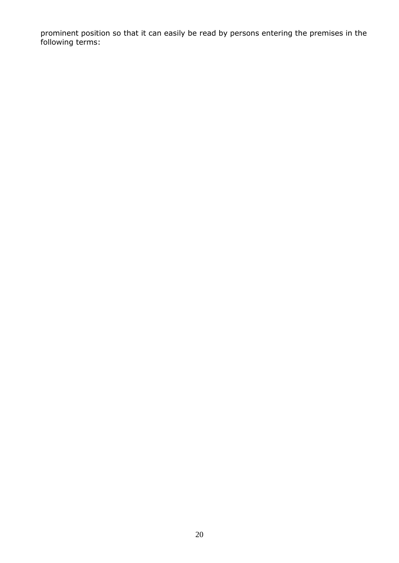prominent position so that it can easily be read by persons entering the premises in the following terms: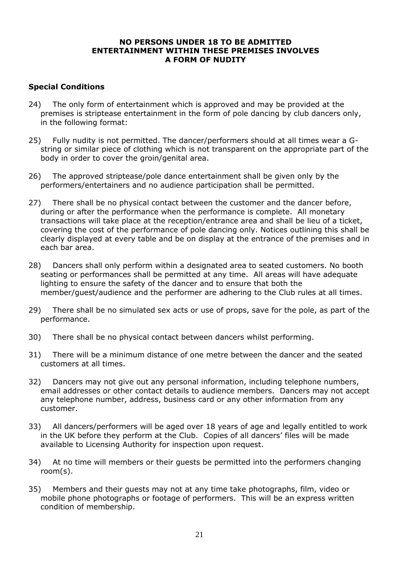#### **NO PERSONS UNDER 18 TO BE ADMITTED ENTERTAINMENT WITHIN THESE PREMISES INVOLVES A FORM OF NUDITY**

### **Special Conditions**

- 24) The only form of entertainment which is approved and may be provided at the premises is striptease entertainment in the form of pole dancing by club dancers only, in the following format:
- 25) Fully nudity is not permitted. The dancer/performers should at all times wear a Gstring or similar piece of clothing which is not transparent on the appropriate part of the body in order to cover the groin/genital area.
- 26) The approved striptease/pole dance entertainment shall be given only by the performers/entertainers and no audience participation shall be permitted.
- 27) There shall be no physical contact between the customer and the dancer before, during or after the performance when the performance is complete. All monetary transactions will take place at the reception/entrance area and shall be lieu of a ticket, covering the cost of the performance of pole dancing only. Notices outlining this shall be clearly displayed at every table and be on display at the entrance of the premises and in each bar area.
- 28) Dancers shall only perform within a designated area to seated customers. No booth seating or performances shall be permitted at any time. All areas will have adequate lighting to ensure the safety of the dancer and to ensure that both the member/guest/audience and the performer are adhering to the Club rules at all times.
- 29) There shall be no simulated sex acts or use of props, save for the pole, as part of the performance.
- 30) There shall be no physical contact between dancers whilst performing.
- 31) There will be a minimum distance of one metre between the dancer and the seated customers at all times.
- 32) Dancers may not give out any personal information, including telephone numbers, email addresses or other contact details to audience members. Dancers may not accept any telephone number, address, business card or any other information from any customer.
- 33) All dancers/performers will be aged over 18 years of age and legally entitled to work in the UK before they perform at the Club. Copies of all dancers' files will be made available to Licensing Authority for inspection upon request.
- 34) At no time will members or their guests be permitted into the performers changing room(s).
- 35) Members and their guests may not at any time take photographs, film, video or mobile phone photographs or footage of performers. This will be an express written condition of membership.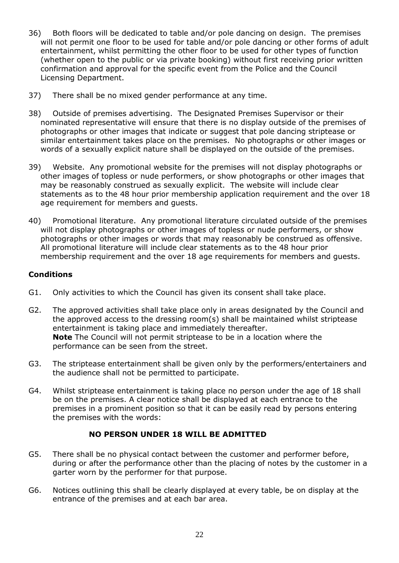- 36) Both floors will be dedicated to table and/or pole dancing on design. The premises will not permit one floor to be used for table and/or pole dancing or other forms of adult entertainment, whilst permitting the other floor to be used for other types of function (whether open to the public or via private booking) without first receiving prior written confirmation and approval for the specific event from the Police and the Council Licensing Department.
- 37) There shall be no mixed gender performance at any time.
- 38) Outside of premises advertising. The Designated Premises Supervisor or their nominated representative will ensure that there is no display outside of the premises of photographs or other images that indicate or suggest that pole dancing striptease or similar entertainment takes place on the premises. No photographs or other images or words of a sexually explicit nature shall be displayed on the outside of the premises.
- 39) Website. Any promotional website for the premises will not display photographs or other images of topless or nude performers, or show photographs or other images that may be reasonably construed as sexually explicit. The website will include clear statements as to the 48 hour prior membership application requirement and the over 18 age requirement for members and guests.
- 40) Promotional literature. Any promotional literature circulated outside of the premises will not display photographs or other images of topless or nude performers, or show photographs or other images or words that may reasonably be construed as offensive. All promotional literature will include clear statements as to the 48 hour prior membership requirement and the over 18 age requirements for members and guests.

#### **Conditions**

- G1. Only activities to which the Council has given its consent shall take place.
- G2. The approved activities shall take place only in areas designated by the Council and the approved access to the dressing room(s) shall be maintained whilst striptease entertainment is taking place and immediately thereafter. **Note** The Council will not permit striptease to be in a location where the performance can be seen from the street.
- G3. The striptease entertainment shall be given only by the performers/entertainers and the audience shall not be permitted to participate.
- G4. Whilst striptease entertainment is taking place no person under the age of 18 shall be on the premises. A clear notice shall be displayed at each entrance to the premises in a prominent position so that it can be easily read by persons entering the premises with the words:

#### **NO PERSON UNDER 18 WILL BE ADMITTED**

- G5. There shall be no physical contact between the customer and performer before, during or after the performance other than the placing of notes by the customer in a garter worn by the performer for that purpose.
- G6. Notices outlining this shall be clearly displayed at every table, be on display at the entrance of the premises and at each bar area.